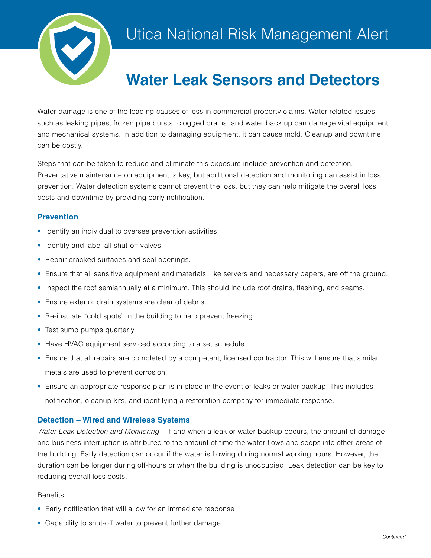

# **Water Leak Sensors and Detectors**

Water damage is one of the leading causes of loss in commercial property claims. Water-related issues such as leaking pipes, frozen pipe bursts, clogged drains, and water back up can damage vital equipment and mechanical systems. In addition to damaging equipment, it can cause mold. Cleanup and downtime can be costly.

Steps that can be taken to reduce and eliminate this exposure include prevention and detection. Preventative maintenance on equipment is key, but additional detection and monitoring can assist in loss prevention. Water detection systems cannot prevent the loss, but they can help mitigate the overall loss costs and downtime by providing early notification.

# **Prevention**

- Identify an individual to oversee prevention activities.
- Identify and label all shut-off valves.
- Repair cracked surfaces and seal openings.
- Ensure that all sensitive equipment and materials, like servers and necessary papers, are off the ground.
- Inspect the roof semiannually at a minimum. This should include roof drains, flashing, and seams.
- Ensure exterior drain systems are clear of debris.
- Re-insulate "cold spots" in the building to help prevent freezing.
- Test sump pumps quarterly.
- Have HVAC equipment serviced according to a set schedule.
- Ensure that all repairs are completed by a competent, licensed contractor. This will ensure that similar metals are used to prevent corrosion.
- Ensure an appropriate response plan is in place in the event of leaks or water backup. This includes notification, cleanup kits, and identifying a restoration company for immediate response.

## **Detection – Wired and Wireless Systems**

*Water Leak Detection and Monitoring –* If and when a leak or water backup occurs, the amount of damage and business interruption is attributed to the amount of time the water flows and seeps into other areas of the building. Early detection can occur if the water is flowing during normal working hours. However, the duration can be longer during off-hours or when the building is unoccupied. Leak detection can be key to reducing overall loss costs.

## Benefits:

- Early notification that will allow for an immediate response
- Capability to shut-off water to prevent further damage